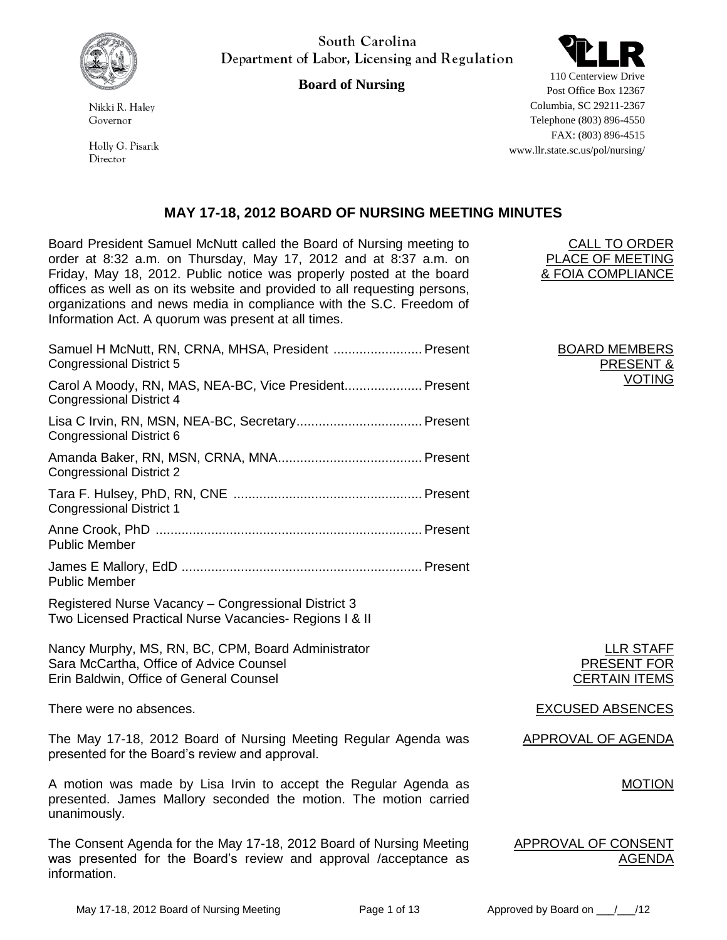

Nikki R. Halev Governor

Holly G. Pisarik Director

South Carolina Department of Labor, Licensing and Regulation

**Board of Nursing**



110 Centerview Drive Post Office Box 12367 Columbia, SC 29211-2367 Telephone (803) 896-4550 FAX: (803) 896-4515 www.llr.state.sc.us/pol/nursing/

### **MAY 17-18, 2012 BOARD OF NURSING MEETING MINUTES**

Board President Samuel McNutt called the Board of Nursing meeting to order at 8:32 a.m. on Thursday, May 17, 2012 and at 8:37 a.m. on Friday, May 18, 2012. Public notice was properly posted at the board offices as well as on its website and provided to all requesting persons, organizations and news media in compliance with the S.C. Freedom of Information Act. A quorum was present at all times.

| Samuel H McNutt, RN, CRNA, MHSA, President  Present<br><b>Congressional District 5</b>                        |
|---------------------------------------------------------------------------------------------------------------|
| Carol A Moody, RN, MAS, NEA-BC, Vice President Present<br>Congressional District 4                            |
| Congressional District 6                                                                                      |
| <b>Congressional District 2</b>                                                                               |
| <b>Congressional District 1</b>                                                                               |
| <b>Public Member</b>                                                                                          |
| <b>Public Member</b>                                                                                          |
| Registered Nurse Vacancy - Congressional District 3<br>Two Licensed Practical Nurse Vacancies- Regions I & II |
| Nancy Murphy, MS, RN, BC, CPM, Board Administrator<br>Sara McCartha, Office of Advice Counsel                 |

Erin Baldwin, Office of General Counsel

There were no absences. There were no absences.

The May 17-18, 2012 Board of Nursing Meeting Regular Agenda was presented for the Board's review and approval.

A motion was made by Lisa Irvin to accept the Regular Agenda as presented. James Mallory seconded the motion. The motion carried unanimously.

The Consent Agenda for the May 17-18, 2012 Board of Nursing Meeting was presented for the Board's review and approval /acceptance as information.

BOARD MEMBERS **PRESE** VOTING

CALL TO ORDER PLACE OF MEETING & FOIA COMPLIANCE

> LLR STAFF PRESENT FOR CERTAIN ITEMS

APPROVAL OF AGENDA

MOTION

APPROVAL OF CONSENT AGENDA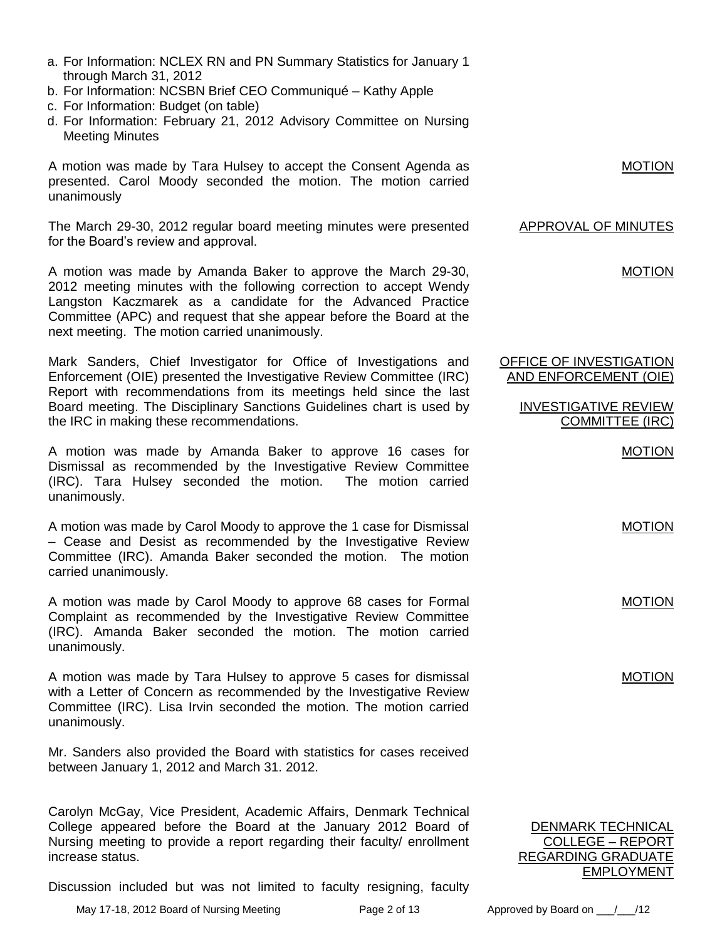- a. For Information: NCLEX RN and PN Summary Statistics for January 1 through March 31, 2012
- b. For Information: NCSBN Brief CEO Communiqué Kathy Apple
- c. For Information: Budget (on table)
- d. For Information: February 21, 2012 Advisory Committee on Nursing Meeting Minutes

A motion was made by Tara Hulsey to accept the Consent Agenda as presented. Carol Moody seconded the motion. The motion carried unanimously

The March 29-30, 2012 regular board meeting minutes were presented for the Board's review and approval.

A motion was made by Amanda Baker to approve the March 29-30, 2012 meeting minutes with the following correction to accept Wendy Langston Kaczmarek as a candidate for the Advanced Practice Committee (APC) and request that she appear before the Board at the next meeting. The motion carried unanimously.

Mark Sanders, Chief Investigator for Office of Investigations and Enforcement (OIE) presented the Investigative Review Committee (IRC) Report with recommendations from its meetings held since the last Board meeting. The Disciplinary Sanctions Guidelines chart is used by the IRC in making these recommendations.

A motion was made by Amanda Baker to approve 16 cases for Dismissal as recommended by the Investigative Review Committee (IRC). Tara Hulsey seconded the motion. The motion carried unanimously.

A motion was made by Carol Moody to approve the 1 case for Dismissal – Cease and Desist as recommended by the Investigative Review Committee (IRC). Amanda Baker seconded the motion. The motion carried unanimously.

A motion was made by Carol Moody to approve 68 cases for Formal Complaint as recommended by the Investigative Review Committee (IRC). Amanda Baker seconded the motion. The motion carried unanimously.

A motion was made by Tara Hulsey to approve 5 cases for dismissal with a Letter of Concern as recommended by the Investigative Review Committee (IRC). Lisa Irvin seconded the motion. The motion carried unanimously.

Mr. Sanders also provided the Board with statistics for cases received between January 1, 2012 and March 31. 2012.

Carolyn McGay, Vice President, Academic Affairs, Denmark Technical College appeared before the Board at the January 2012 Board of Nursing meeting to provide a report regarding their faculty/ enrollment increase status.

Discussion included but was not limited to faculty resigning, faculty

May 17-18, 2012 Board of Nursing Meeting Page 2 of 13 Approved by Board on \_\_\_/\_\_\_/12

DENMARK TECHNICAL COLLEGE – REPORT REGARDING GRADUATE

MOTION

APPROVAL OF MINUTES

MOTION

OFFICE OF INVESTIGATION AND ENFORCEMENT (OIE)

> INVESTIGATIVE REVIEW COMMITTEE (IRC)

> > MOTION

MOTION

MOTION

MOTION

EMPLOYMENT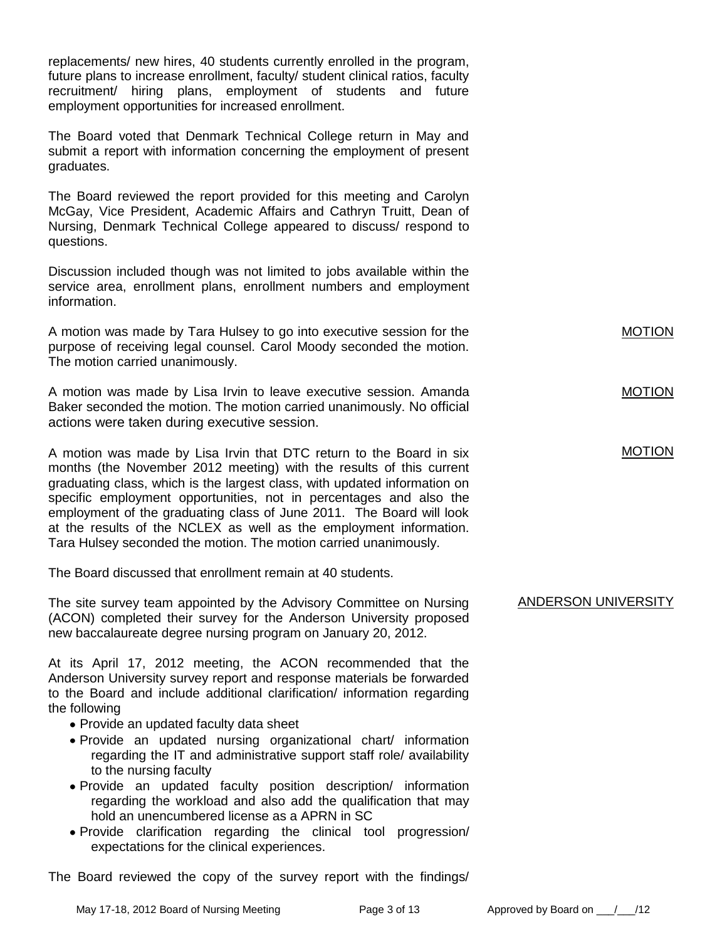replacements/ new hires, 40 students currently enrolled in the program, future plans to increase enrollment, faculty/ student clinical ratios, faculty recruitment/ hiring plans, employment of students and future employment opportunities for increased enrollment.

The Board voted that Denmark Technical College return in May and submit a report with information concerning the employment of present graduates.

The Board reviewed the report provided for this meeting and Carolyn McGay, Vice President, Academic Affairs and Cathryn Truitt, Dean of Nursing, Denmark Technical College appeared to discuss/ respond to questions.

Discussion included though was not limited to jobs available within the service area, enrollment plans, enrollment numbers and employment information.

A motion was made by Tara Hulsey to go into executive session for the purpose of receiving legal counsel. Carol Moody seconded the motion. The motion carried unanimously.

A motion was made by Lisa Irvin to leave executive session. Amanda Baker seconded the motion. The motion carried unanimously. No official actions were taken during executive session.

A motion was made by Lisa Irvin that DTC return to the Board in six months (the November 2012 meeting) with the results of this current graduating class, which is the largest class, with updated information on specific employment opportunities, not in percentages and also the employment of the graduating class of June 2011. The Board will look at the results of the NCLEX as well as the employment information. Tara Hulsey seconded the motion. The motion carried unanimously.

The Board discussed that enrollment remain at 40 students.

The site survey team appointed by the Advisory Committee on Nursing (ACON) completed their survey for the Anderson University proposed new baccalaureate degree nursing program on January 20, 2012.

At its April 17, 2012 meeting, the ACON recommended that the Anderson University survey report and response materials be forwarded to the Board and include additional clarification/ information regarding the following

- Provide an updated faculty data sheet
- Provide an updated nursing organizational chart/ information regarding the IT and administrative support staff role/ availability to the nursing faculty
- Provide an updated faculty position description/ information regarding the workload and also add the qualification that may hold an unencumbered license as a APRN in SC
- Provide clarification regarding the clinical tool progression/ expectations for the clinical experiences.

The Board reviewed the copy of the survey report with the findings/

ANDERSON UNIVERSITY

MOTION

MOTION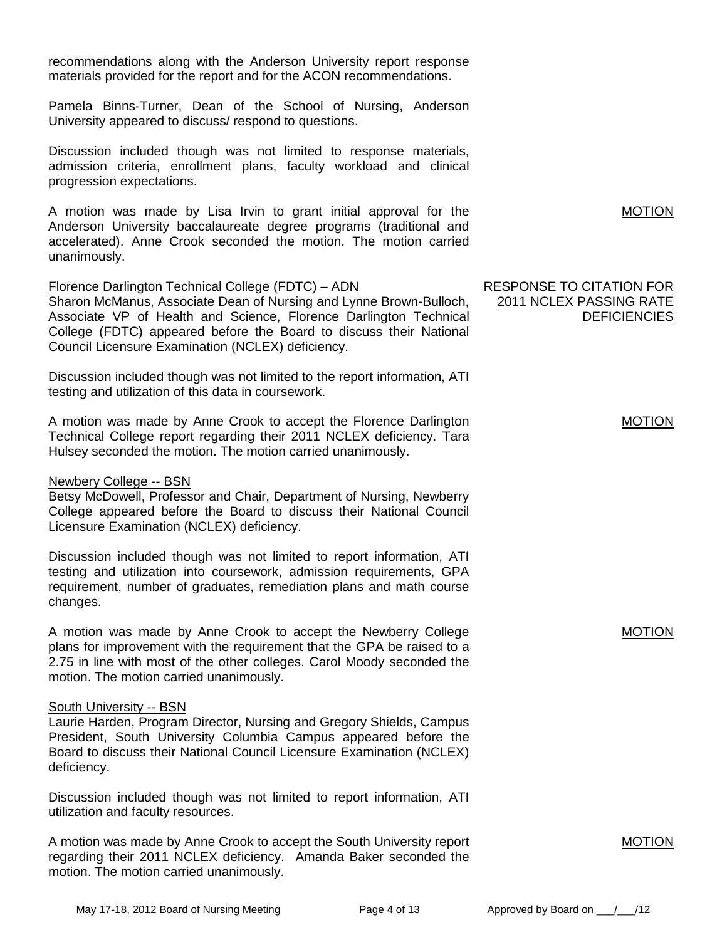recommendations along with the Anderson University report response materials provided for the report and for the ACON recommendations.

Pamela Binns-Turner, Dean of the School of Nursing, Anderson University appeared to discuss/ respond to questions.

Discussion included though was not limited to response materials, admission criteria, enrollment plans, faculty workload and clinical progression expectations.

A motion was made by Lisa Irvin to grant initial approval for the Anderson University baccalaureate degree programs (traditional and accelerated). Anne Crook seconded the motion. The motion carried unanimously.

### Florence Darlington Technical College (FDTC) – ADN

Sharon McManus, Associate Dean of Nursing and Lynne Brown-Bulloch, Associate VP of Health and Science, Florence Darlington Technical College (FDTC) appeared before the Board to discuss their National Council Licensure Examination (NCLEX) deficiency.

Discussion included though was not limited to the report information, ATI testing and utilization of this data in coursework.

A motion was made by Anne Crook to accept the Florence Darlington Technical College report regarding their 2011 NCLEX deficiency. Tara Hulsey seconded the motion. The motion carried unanimously.

### Newbery College -- BSN

Betsy McDowell, Professor and Chair, Department of Nursing, Newberry College appeared before the Board to discuss their National Council Licensure Examination (NCLEX) deficiency.

Discussion included though was not limited to report information, ATI testing and utilization into coursework, admission requirements, GPA requirement, number of graduates, remediation plans and math course changes.

A motion was made by Anne Crook to accept the Newberry College plans for improvement with the requirement that the GPA be raised to a 2.75 in line with most of the other colleges. Carol Moody seconded the motion. The motion carried unanimously.

### South University -- BSN

Laurie Harden, Program Director, Nursing and Gregory Shields, Campus President, South University Columbia Campus appeared before the Board to discuss their National Council Licensure Examination (NCLEX) deficiency.

Discussion included though was not limited to report information, ATI utilization and faculty resources.

A motion was made by Anne Crook to accept the South University report regarding their 2011 NCLEX deficiency. Amanda Baker seconded the motion. The motion carried unanimously.

RESPONSE TO CITATION FOR 2011 NCLEX PASSING RATE **DEFICIENCIES** 

MOTION

MOTION

MOTION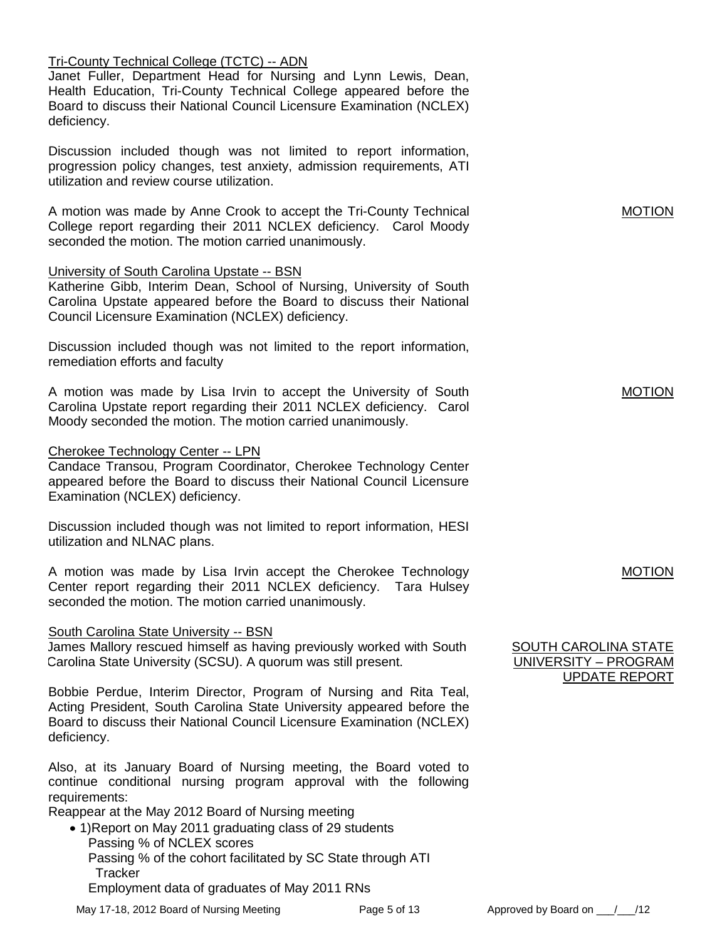### Tri-County Technical College (TCTC) -- ADN

Janet Fuller, Department Head for Nursing and Lynn Lewis, Dean, Health Education, Tri-County Technical College appeared before the Board to discuss their National Council Licensure Examination (NCLEX) deficiency.

Discussion included though was not limited to report information, progression policy changes, test anxiety, admission requirements, ATI utilization and review course utilization.

A motion was made by Anne Crook to accept the Tri-County Technical College report regarding their 2011 NCLEX deficiency. Carol Moody seconded the motion. The motion carried unanimously.

### University of South Carolina Upstate -- BSN

Katherine Gibb, Interim Dean, School of Nursing, University of South Carolina Upstate appeared before the Board to discuss their National Council Licensure Examination (NCLEX) deficiency.

Discussion included though was not limited to the report information, remediation efforts and faculty

A motion was made by Lisa Irvin to accept the University of South Carolina Upstate report regarding their 2011 NCLEX deficiency. Carol Moody seconded the motion. The motion carried unanimously.

### Cherokee Technology Center -- LPN

Candace Transou, Program Coordinator, Cherokee Technology Center appeared before the Board to discuss their National Council Licensure Examination (NCLEX) deficiency.

Discussion included though was not limited to report information, HESI utilization and NLNAC plans.

A motion was made by Lisa Irvin accept the Cherokee Technology Center report regarding their 2011 NCLEX deficiency. Tara Hulsey seconded the motion. The motion carried unanimously.

### South Carolina State University -- BSN

James Mallory rescued himself as having previously worked with South Carolina State University (SCSU). A quorum was still present.

Bobbie Perdue, Interim Director, Program of Nursing and Rita Teal, Acting President, South Carolina State University appeared before the Board to discuss their National Council Licensure Examination (NCLEX) deficiency.

Also, at its January Board of Nursing meeting, the Board voted to continue conditional nursing program approval with the following requirements:

Reappear at the May 2012 Board of Nursing meeting

• 1) Report on May 2011 graduating class of 29 students Passing % of NCLEX scores Passing % of the cohort facilitated by SC State through ATI **Tracker** Employment data of graduates of May 2011 RNs

May 17-18, 2012 Board of Nursing Meeting Page 5 of 13 Approved by Board on  $/$  /12



# MOTION

### MOTION

### MOTION

### SOUTH CAROLINA STATE UNIVERSITY – PROGRAM UPDATE REPORT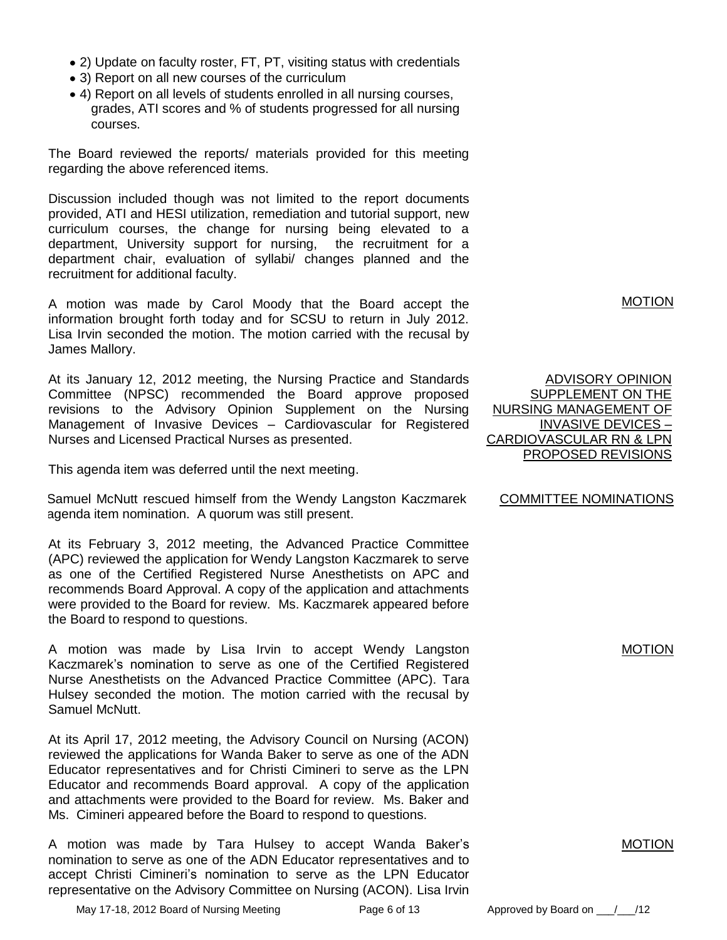- 2) Update on faculty roster, FT, PT, visiting status with credentials
- 3) Report on all new courses of the curriculum
- 4) Report on all levels of students enrolled in all nursing courses, grades, ATI scores and % of students progressed for all nursing courses.

The Board reviewed the reports/ materials provided for this meeting regarding the above referenced items.

Discussion included though was not limited to the report documents provided, ATI and HESI utilization, remediation and tutorial support, new curriculum courses, the change for nursing being elevated to a department, University support for nursing, the recruitment for a department chair, evaluation of syllabi/ changes planned and the recruitment for additional faculty.

A motion was made by Carol Moody that the Board accept the information brought forth today and for SCSU to return in July 2012. Lisa Irvin seconded the motion. The motion carried with the recusal by James Mallory.

At its January 12, 2012 meeting, the Nursing Practice and Standards Committee (NPSC) recommended the Board approve proposed revisions to the Advisory Opinion Supplement on the Nursing Management of Invasive Devices – Cardiovascular for Registered Nurses and Licensed Practical Nurses as presented.

This agenda item was deferred until the next meeting.

Samuel McNutt rescued himself from the Wendy Langston Kaczmarek agenda item nomination. A quorum was still present.

At its February 3, 2012 meeting, the Advanced Practice Committee (APC) reviewed the application for Wendy Langston Kaczmarek to serve as one of the Certified Registered Nurse Anesthetists on APC and recommends Board Approval. A copy of the application and attachments were provided to the Board for review. Ms. Kaczmarek appeared before the Board to respond to questions.

A motion was made by Lisa Irvin to accept Wendy Langston Kaczmarek's nomination to serve as one of the Certified Registered Nurse Anesthetists on the Advanced Practice Committee (APC). Tara Hulsey seconded the motion. The motion carried with the recusal by Samuel McNutt.

At its April 17, 2012 meeting, the Advisory Council on Nursing (ACON) reviewed the applications for Wanda Baker to serve as one of the ADN Educator representatives and for Christi Cimineri to serve as the LPN Educator and recommends Board approval. A copy of the application and attachments were provided to the Board for review. Ms. Baker and Ms. Cimineri appeared before the Board to respond to questions.

A motion was made by Tara Hulsey to accept Wanda Baker's nomination to serve as one of the ADN Educator representatives and to accept Christi Cimineri's nomination to serve as the LPN Educator representative on the Advisory Committee on Nursing (ACON). Lisa Irvin

ADVISORY OPINION SUPPLEMENT ON THE NURSING MANAGEMENT OF INVASIVE DEVICES – CARDIOVASCULAR RN & LPN PROPOSED REVISIONS

COMMITTEE NOMINATIONS

MOTION

MOTION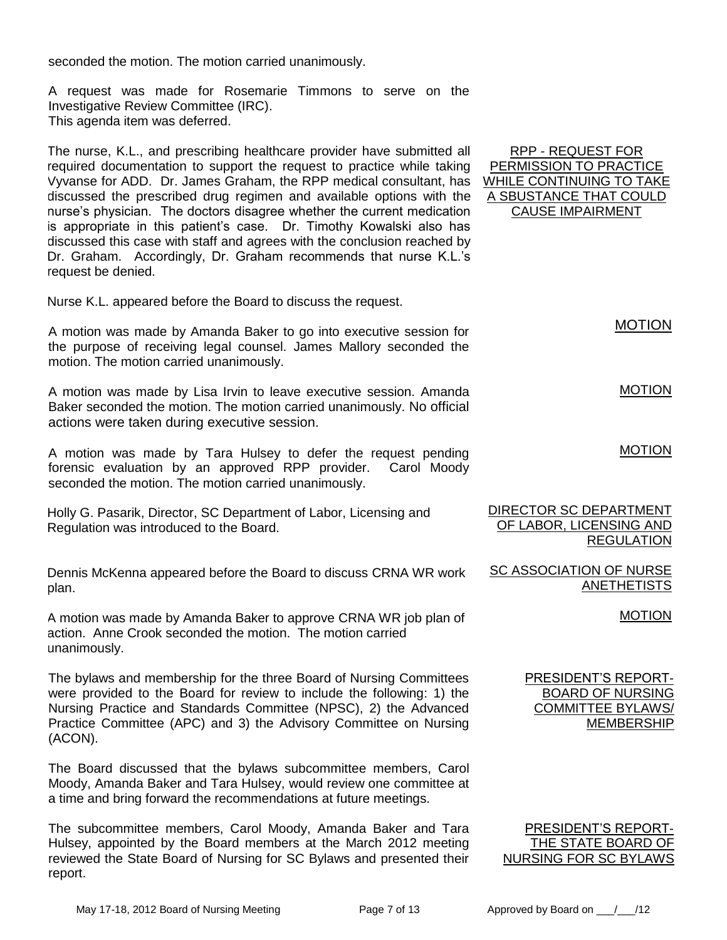seconded the motion. The motion carried unanimously.

A request was made for Rosemarie Timmons to serve on the Investigative Review Committee (IRC). This agenda item was deferred.

The nurse, K.L., and prescribing healthcare provider have submitted all required documentation to support the request to practice while taking Vyvanse for ADD. Dr. James Graham, the RPP medical consultant, has discussed the prescribed drug regimen and available options with the nurse's physician. The doctors disagree whether the current medication is appropriate in this patient's case. Dr. Timothy Kowalski also has discussed this case with staff and agrees with the conclusion reached by Dr. Graham. Accordingly, Dr. Graham recommends that nurse K.L.'s request be denied.

Nurse K.L. appeared before the Board to discuss the request.

A motion was made by Amanda Baker to go into executive session for the purpose of receiving legal counsel. James Mallory seconded the motion. The motion carried unanimously.

A motion was made by Lisa Irvin to leave executive session. Amanda Baker seconded the motion. The motion carried unanimously. No official actions were taken during executive session.

A motion was made by Tara Hulsey to defer the request pending forensic evaluation by an approved RPP provider. Carol Moody seconded the motion. The motion carried unanimously.

Holly G. Pasarik, Director, SC Department of Labor, Licensing and Regulation was introduced to the Board.

Dennis McKenna appeared before the Board to discuss CRNA WR work plan.

A motion was made by Amanda Baker to approve CRNA WR job plan of action. Anne Crook seconded the motion. The motion carried unanimously.

The bylaws and membership for the three Board of Nursing Committees were provided to the Board for review to include the following: 1) the Nursing Practice and Standards Committee (NPSC), 2) the Advanced Practice Committee (APC) and 3) the Advisory Committee on Nursing (ACON).

The Board discussed that the bylaws subcommittee members, Carol Moody, Amanda Baker and Tara Hulsey, would review one committee at a time and bring forward the recommendations at future meetings.

The subcommittee members, Carol Moody, Amanda Baker and Tara Hulsey, appointed by the Board members at the March 2012 meeting reviewed the State Board of Nursing for SC Bylaws and presented their report.

RPP - REQUEST FOR PERMISSION TO PRACTICE WHILE CONTINUING TO TAKE A SBUSTANCE THAT COULD CAUSE IMPAIRMENT

MOTION

MOTION

### MOTION

| DIRECTOR SC DEPARTMENT  |                   |
|-------------------------|-------------------|
| OF LABOR, LICENSING AND |                   |
|                         | <b>REGULATION</b> |

SC ASSOCIATION OF NURSE **ANETHETISTS** 

### MOTION

PRESIDENT'S REPORT-BOARD OF NURSING COMMITTEE BYLAWS/ MEMBERSHIP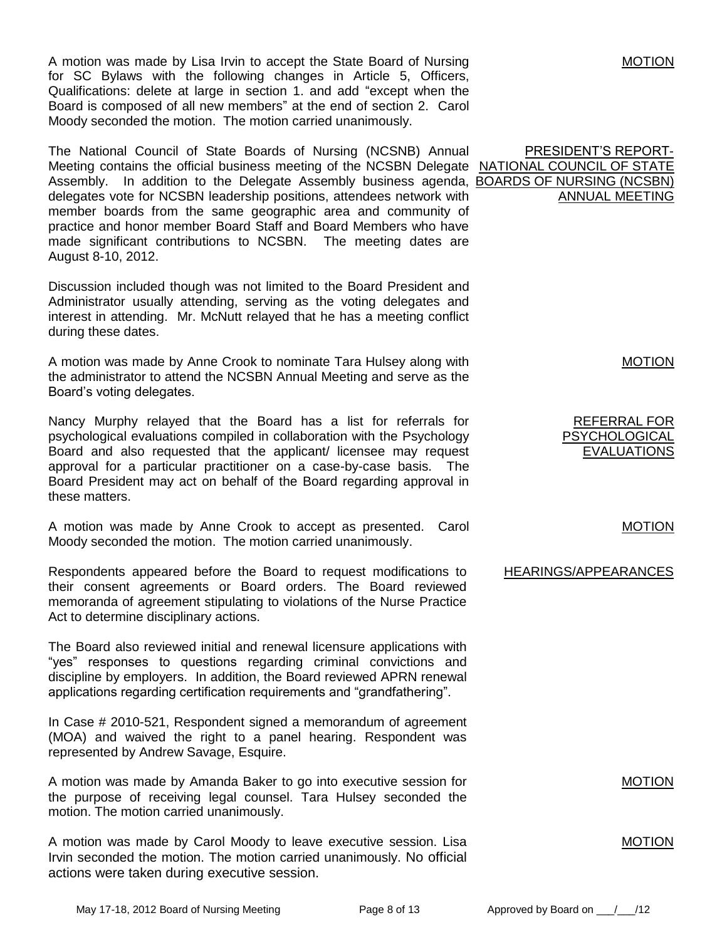A motion was made by Lisa Irvin to accept the State Board of Nursing for SC Bylaws with the following changes in Article 5, Officers, Qualifications: delete at large in section 1. and add "except when the Board is composed of all new members" at the end of section 2. Carol Moody seconded the motion. The motion carried unanimously.

The National Council of State Boards of Nursing (NCSNB) Annual Meeting contains the official business meeting of the NCSBN Delegate NATIONAL COUNCIL OF STATE Assembly. In addition to the Delegate Assembly business agenda, **BOARDS OF NURSING (NCSBN)** delegates vote for NCSBN leadership positions, attendees network with member boards from the same geographic area and community of practice and honor member Board Staff and Board Members who have made significant contributions to NCSBN. The meeting dates are August 8-10, 2012.

Discussion included though was not limited to the Board President and Administrator usually attending, serving as the voting delegates and interest in attending. Mr. McNutt relayed that he has a meeting conflict during these dates.

A motion was made by Anne Crook to nominate Tara Hulsey along with the administrator to attend the NCSBN Annual Meeting and serve as the Board's voting delegates.

Nancy Murphy relayed that the Board has a list for referrals for psychological evaluations compiled in collaboration with the Psychology Board and also requested that the applicant/ licensee may request approval for a particular practitioner on a case-by-case basis. The Board President may act on behalf of the Board regarding approval in these matters.

A motion was made by Anne Crook to accept as presented. Carol Moody seconded the motion. The motion carried unanimously.

Respondents appeared before the Board to request modifications to their consent agreements or Board orders. The Board reviewed memoranda of agreement stipulating to violations of the Nurse Practice Act to determine disciplinary actions.

The Board also reviewed initial and renewal licensure applications with "yes" responses to questions regarding criminal convictions and discipline by employers. In addition, the Board reviewed APRN renewal applications regarding certification requirements and "grandfathering".

In Case # 2010-521, Respondent signed a memorandum of agreement (MOA) and waived the right to a panel hearing. Respondent was represented by Andrew Savage, Esquire.

A motion was made by Amanda Baker to go into executive session for the purpose of receiving legal counsel. Tara Hulsey seconded the motion. The motion carried unanimously.

A motion was made by Carol Moody to leave executive session. Lisa Irvin seconded the motion. The motion carried unanimously. No official actions were taken during executive session.

PRESIDENT'S REPORT-ANNUAL MEETING

MOTION

MOTION

REFERRAL FOR PSYCHOLOGICAL EVALUATIONS

MOTION

HEARINGS/APPEARANCES

MOTION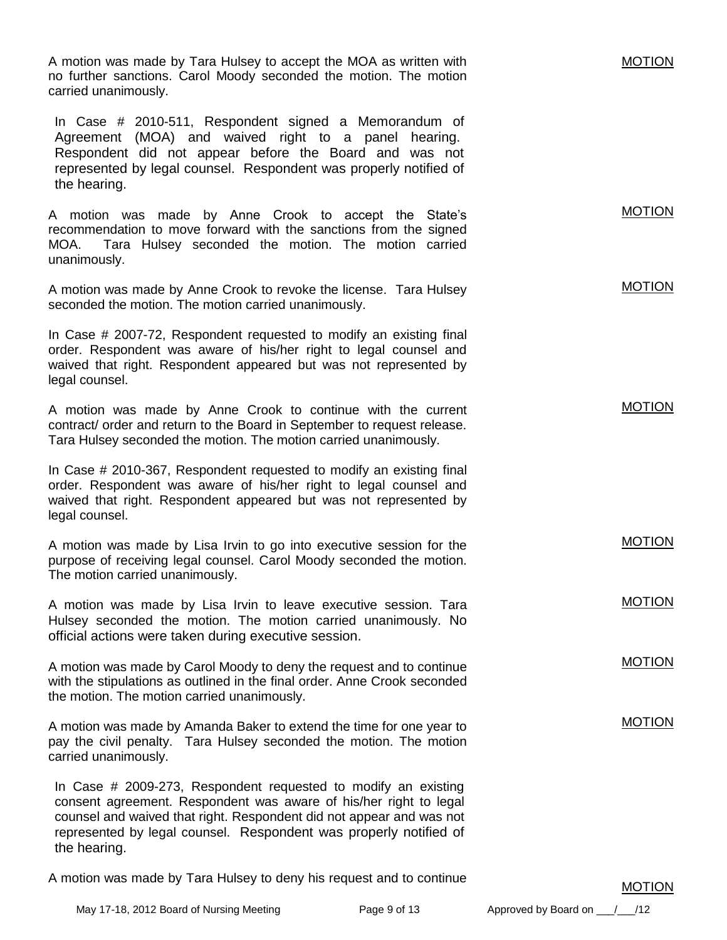A motion was made by Tara Hulsey to accept the MOA as written with no further sanctions. Carol Moody seconded the motion. The motion carried unanimously. In Case # 2010-511, Respondent signed a Memorandum of Agreement (MOA) and waived right to a panel hearing. Respondent did not appear before the Board and was not represented by legal counsel. Respondent was properly notified of the hearing.

A motion was made by Anne Crook to accept the State's recommendation to move forward with the sanctions from the signed MOA. Tara Hulsey seconded the motion. The motion carried unanimously.

A motion was made by Anne Crook to revoke the license. Tara Hulsey seconded the motion. The motion carried unanimously.

In Case # 2007-72, Respondent requested to modify an existing final order. Respondent was aware of his/her right to legal counsel and waived that right. Respondent appeared but was not represented by legal counsel.

A motion was made by Anne Crook to continue with the current contract/ order and return to the Board in September to request release. Tara Hulsey seconded the motion. The motion carried unanimously.

In Case # 2010-367, Respondent requested to modify an existing final order. Respondent was aware of his/her right to legal counsel and waived that right. Respondent appeared but was not represented by legal counsel.

A motion was made by Lisa Irvin to go into executive session for the purpose of receiving legal counsel. Carol Moody seconded the motion. The motion carried unanimously.

A motion was made by Lisa Irvin to leave executive session. Tara Hulsey seconded the motion. The motion carried unanimously. No official actions were taken during executive session.

A motion was made by Carol Moody to deny the request and to continue with the stipulations as outlined in the final order. Anne Crook seconded the motion. The motion carried unanimously.

A motion was made by Amanda Baker to extend the time for one year to pay the civil penalty. Tara Hulsey seconded the motion. The motion carried unanimously.

In Case # 2009-273, Respondent requested to modify an existing consent agreement. Respondent was aware of his/her right to legal counsel and waived that right. Respondent did not appear and was not represented by legal counsel. Respondent was properly notified of the hearing.

A motion was made by Tara Hulsey to deny his request and to continue

MOTION

MOTION

MOTION

MOTION

MOTION

## MOTION

MOTION

MOTION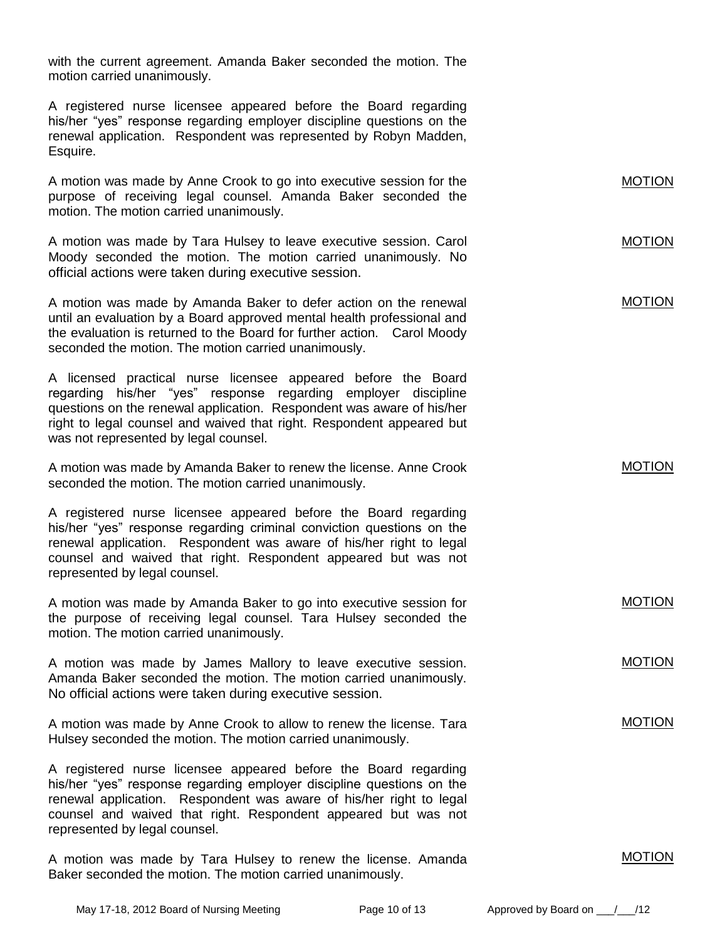with the current agreement. Amanda Baker seconded the motion. The motion carried unanimously.

A registered nurse licensee appeared before the Board regarding his/her "yes" response regarding employer discipline questions on the renewal application. Respondent was represented by Robyn Madden, Esquire.

A motion was made by Anne Crook to go into executive session for the purpose of receiving legal counsel. Amanda Baker seconded the motion. The motion carried unanimously.

A motion was made by Tara Hulsey to leave executive session. Carol Moody seconded the motion. The motion carried unanimously. No official actions were taken during executive session.

A motion was made by Amanda Baker to defer action on the renewal until an evaluation by a Board approved mental health professional and the evaluation is returned to the Board for further action. Carol Moody seconded the motion. The motion carried unanimously.

A licensed practical nurse licensee appeared before the Board regarding his/her "yes" response regarding employer discipline questions on the renewal application. Respondent was aware of his/her right to legal counsel and waived that right. Respondent appeared but was not represented by legal counsel.

A motion was made by Amanda Baker to renew the license. Anne Crook seconded the motion. The motion carried unanimously.

A registered nurse licensee appeared before the Board regarding his/her "yes" response regarding criminal conviction questions on the renewal application. Respondent was aware of his/her right to legal counsel and waived that right. Respondent appeared but was not represented by legal counsel.

A motion was made by Amanda Baker to go into executive session for the purpose of receiving legal counsel. Tara Hulsey seconded the motion. The motion carried unanimously.

A motion was made by James Mallory to leave executive session. Amanda Baker seconded the motion. The motion carried unanimously. No official actions were taken during executive session.

A motion was made by Anne Crook to allow to renew the license. Tara Hulsey seconded the motion. The motion carried unanimously.

A registered nurse licensee appeared before the Board regarding his/her "yes" response regarding employer discipline questions on the renewal application. Respondent was aware of his/her right to legal counsel and waived that right. Respondent appeared but was not represented by legal counsel.

A motion was made by Tara Hulsey to renew the license. Amanda Baker seconded the motion. The motion carried unanimously.

MOTION

MOTION

MOTION

MOTION

MOTION

MOTION

MOTION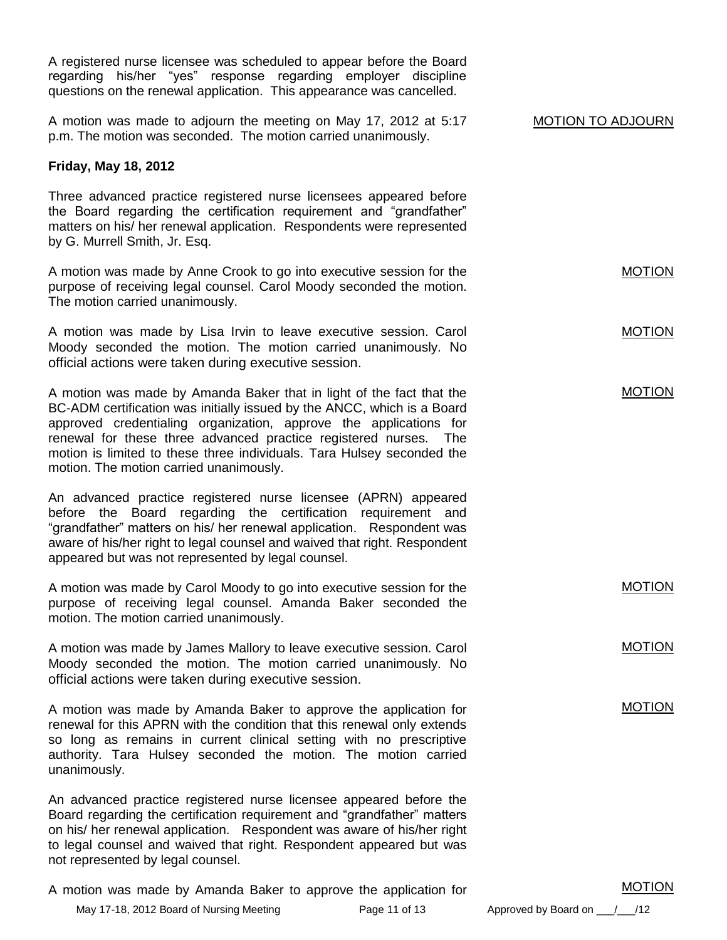A registered nurse licensee was scheduled to appear before the Board regarding his/her "yes" response regarding employer discipline questions on the renewal application. This appearance was cancelled. A motion was made to adjourn the meeting on May 17, 2012 at 5:17 p.m. The motion was seconded. The motion carried unanimously. **Friday, May 18, 2012** Three advanced practice registered nurse licensees appeared before the Board regarding the certification requirement and "grandfather" matters on his/ her renewal application. Respondents were represented by G. Murrell Smith, Jr. Esq. A motion was made by Anne Crook to go into executive session for the purpose of receiving legal counsel. Carol Moody seconded the motion. The motion carried unanimously. A motion was made by Lisa Irvin to leave executive session. Carol Moody seconded the motion. The motion carried unanimously. No official actions were taken during executive session. A motion was made by Amanda Baker that in light of the fact that the BC-ADM certification was initially issued by the ANCC, which is a Board approved credentialing organization, approve the applications for renewal for these three advanced practice registered nurses. The motion is limited to these three individuals. Tara Hulsey seconded the motion. The motion carried unanimously. An advanced practice registered nurse licensee (APRN) appeared before the Board regarding the certification requirement and "grandfather" matters on his/ her renewal application. Respondent was aware of his/her right to legal counsel and waived that right. Respondent appeared but was not represented by legal counsel. A motion was made by Carol Moody to go into executive session for the purpose of receiving legal counsel. Amanda Baker seconded the motion. The motion carried unanimously. A motion was made by James Mallory to leave executive session. Carol Moody seconded the motion. The motion carried unanimously. No official actions were taken during executive session. A motion was made by Amanda Baker to approve the application for renewal for this APRN with the condition that this renewal only extends so long as remains in current clinical setting with no prescriptive authority. Tara Hulsey seconded the motion. The motion carried unanimously. An advanced practice registered nurse licensee appeared before the Board regarding the certification requirement and "grandfather" matters on his/ her renewal application. Respondent was aware of his/her right to legal counsel and waived that right. Respondent appeared but was not represented by legal counsel. MOTION TO ADJOURN MOTION MOTION MOTION MOTION MOTION MOTION

A motion was made by Amanda Baker to approve the application for

May 17-18, 2012 Board of Nursing Meeting Page 11 of 13 Approved by Board on / /12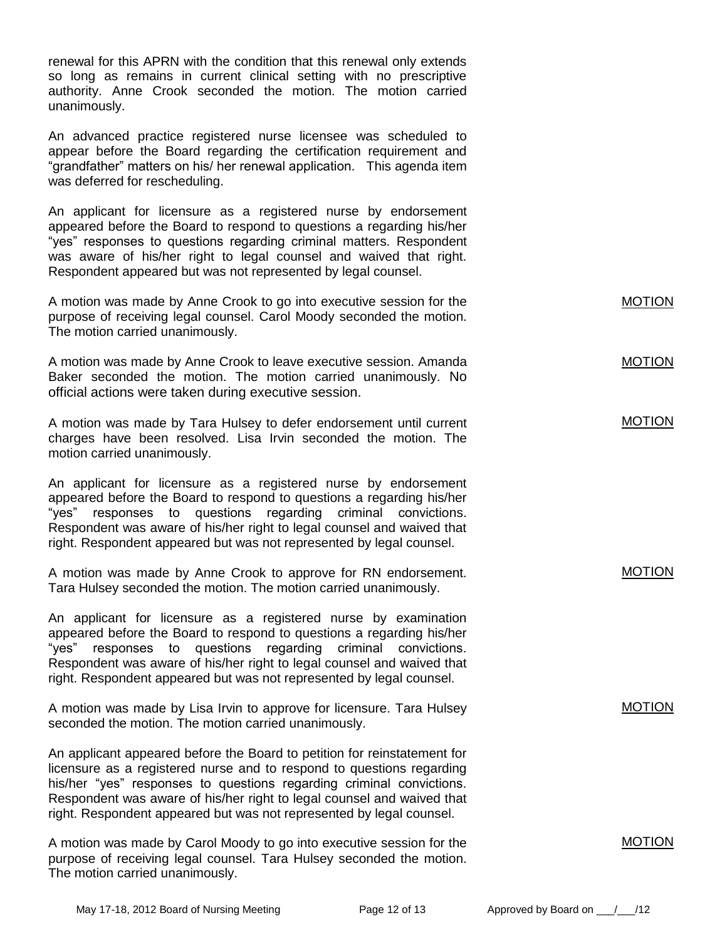renewal for this APRN with the condition that this renewal only extends so long as remains in current clinical setting with no prescriptive authority. Anne Crook seconded the motion. The motion carried unanimously.

An advanced practice registered nurse licensee was scheduled to appear before the Board regarding the certification requirement and "grandfather" matters on his/ her renewal application. This agenda item was deferred for rescheduling.

An applicant for licensure as a registered nurse by endorsement appeared before the Board to respond to questions a regarding his/her "yes" responses to questions regarding criminal matters. Respondent was aware of his/her right to legal counsel and waived that right. Respondent appeared but was not represented by legal counsel.

| A motion was made by Anne Crook to go into executive session for the<br>purpose of receiving legal counsel. Carol Moody seconded the motion.<br>The motion carried unanimously.                                                                                                                                                                                             | <b>MOTION</b> |
|-----------------------------------------------------------------------------------------------------------------------------------------------------------------------------------------------------------------------------------------------------------------------------------------------------------------------------------------------------------------------------|---------------|
| A motion was made by Anne Crook to leave executive session. Amanda<br>Baker seconded the motion. The motion carried unanimously. No<br>official actions were taken during executive session.                                                                                                                                                                                | <b>MOTION</b> |
| A motion was made by Tara Hulsey to defer endorsement until current<br>charges have been resolved. Lisa Irvin seconded the motion. The<br>motion carried unanimously.                                                                                                                                                                                                       | <b>MOTION</b> |
| An applicant for licensure as a registered nurse by endorsement<br>appeared before the Board to respond to questions a regarding his/her<br>"yes"<br>responses to questions<br>regarding<br>criminal convictions.<br>Respondent was aware of his/her right to legal counsel and waived that<br>right. Respondent appeared but was not represented by legal counsel.         |               |
| A motion was made by Anne Crook to approve for RN endorsement.<br>Tara Hulsey seconded the motion. The motion carried unanimously.                                                                                                                                                                                                                                          | <b>MOTION</b> |
| An applicant for licensure as a registered nurse by examination<br>appeared before the Board to respond to questions a regarding his/her<br>"yes" responses to questions regarding criminal convictions.<br>Respondent was aware of his/her right to legal counsel and waived that<br>right. Respondent appeared but was not represented by legal counsel.                  |               |
| A motion was made by Lisa Irvin to approve for licensure. Tara Hulsey<br>seconded the motion. The motion carried unanimously.                                                                                                                                                                                                                                               | <b>MOTION</b> |
| An applicant appeared before the Board to petition for reinstatement for<br>licensure as a registered nurse and to respond to questions regarding<br>his/her "yes" responses to questions regarding criminal convictions.<br>Respondent was aware of his/her right to legal counsel and waived that<br>right. Respondent appeared but was not represented by legal counsel. |               |

A motion was made by Carol Moody to go into executive session for the purpose of receiving legal counsel. Tara Hulsey seconded the motion. The motion carried unanimously.